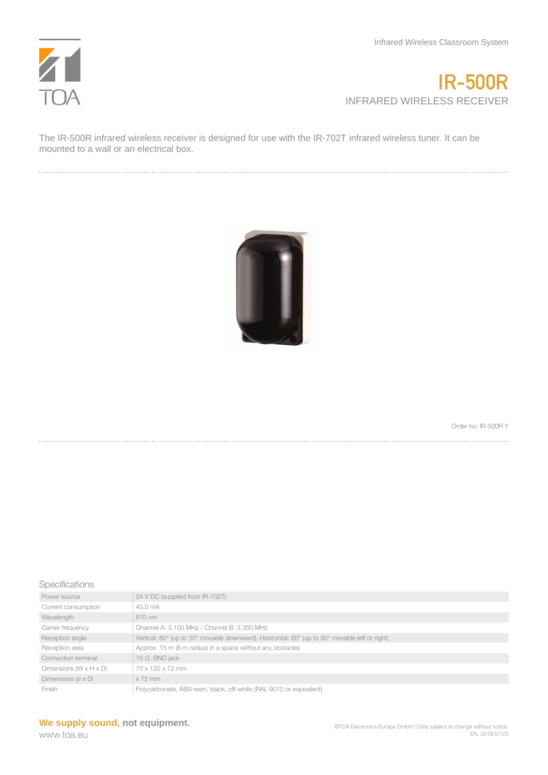

## **IR-500R** INFRARED WIRELESS RECEIVER

The IR-500R infrared wireless receiver is designed for use with the IR-702T infrared wireless tuner. It can be mounted to a wall or an electrical box.



Order no: IR-500R Y

## Specifications

| Power source                          | 24 V DC (supplied from IR-702T)                                                               |
|---------------------------------------|-----------------------------------------------------------------------------------------------|
| Current consumption                   | 40.0 mA                                                                                       |
| Wavelength                            | 870 nm                                                                                        |
| Carrier frequency                     | Channel A: 3.100 MHz / Channel B: 3.350 MHz                                                   |
| Reception angle                       | Vertical: 80° (up to 30° movable downward), Horizontal: 80° (up to 30° movable left or right) |
| Reception area                        | Approx. 15 m (8 m radius) in a space without any obstacles                                    |
| Connection terminal                   | $75 \Omega$ , BNC jack                                                                        |
| Dimensions $(W \times H \times D)$    | 70 x 120 x 72 mm                                                                              |
| Dimensions ( $\varnothing \times D$ ) | $x$ 72 mm                                                                                     |
| Finish                                | Polycarbonate, ABS resin, black, off-white (RAL 9010 or equivalent)                           |